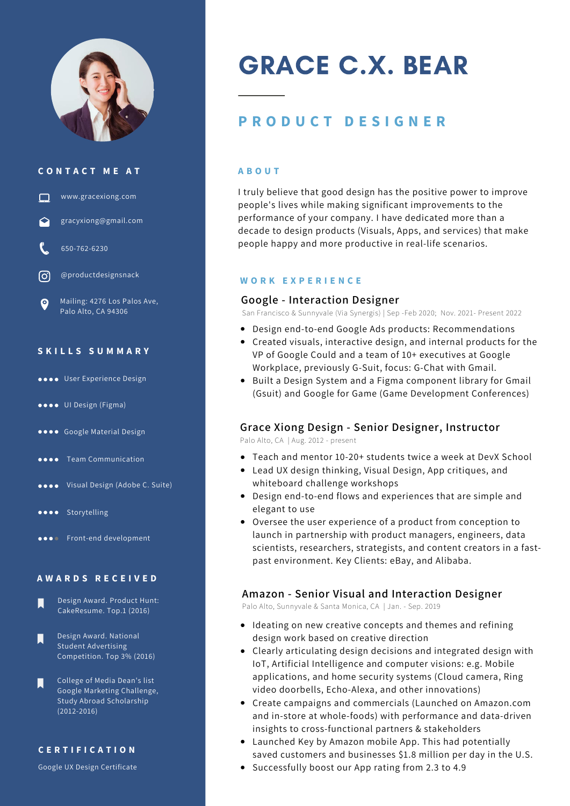

#### **C O N T A C T M E A T**



#### **S K I L L S S U M M A R Y**

- User Experience Design
- UI Design (Figma)
- **OOOO** Google Material Design
- **OCOO** Team Communication
- Visual Design (Adobe C. Suite)
- **OOOO** Storytelling
- **ODOO** Front-end development

#### **A W A R D S R E C E I V E D**

- Design Award. Product Hunt: П CakeResume. Top.1 (2016)
- Design Award. National Student Advertising Competition. Top 3% (2016)
- College of Media Dean's list Google Marketing Challenge, Study Abroad Scholarship (2012-2016)

#### **C E R T I F I C A T I O N**

Google UX Design Certificate

# GRACE C.X. BEAR

# **P R O D U C T D E S I G N E R**

#### **A B O U T**

I truly believe that good design has the positive power to improve people's lives while making significant improvements to the performance of your company. I have dedicated more than a decade to design products (Visuals, Apps, and services) that make people happy and more productive in real-life scenarios.

#### **W O R K E X P E R I E N C E**

#### **Google - Interaction Designer**

San Francisco & Sunnyvale (Via Synergis) | Sep -Feb 2020; Nov. 2021- Present 2022

- Design end-to-end Google Ads products: Recommendations
- Created visuals, interactive design, and internal products for the VP of Google Could and a team of 10+ executives at Google Workplace, previously G-Suit, focus: G-Chat with Gmail.
- Built a Design System and a Figma component library for Gmail (Gsuit) and Google for Game (Game Development Conferences)

# **Grace Xiong Design - Senior Designer, Instructor**

Palo Alto, CA | Aug. 2012 - present

- Teach and mentor 10-20+ students twice a week at DevX School
- Lead UX design thinking, Visual Design, App critiques, and whiteboard challenge workshops
- Design end-to-end flows and experiences that are simple and elegant to use
- Oversee the user experience of a product from conception to launch in partnership with product managers, engineers, data scientists, researchers, strategists, and content creators in a fastpast environment. Key Clients: eBay, and Alibaba.

#### **Amazon - Senior Visual and Interaction Designer**

Palo Alto, Sunnyvale & Santa Monica, CA | Jan. - Sep. 2019

- Ideating on new creative concepts and themes and refining design work based on creative direction
- Clearly articulating design decisions and integrated design with IoT, Artificial Intelligence and computer visions: e.g. Mobile applications, and home security systems (Cloud camera, Ring video doorbells, Echo-Alexa, and other innovations)
- Create campaigns and commercials (Launched on Amazon.com and in-store at whole-foods) with performance and data-driven insights to cross-functional partners & stakeholders
- Launched Key by Amazon mobile App. This had potentially saved customers and businesses \$1.8 million per day in the U.S.
- Successfully boost our App rating from 2.3 to 4.9